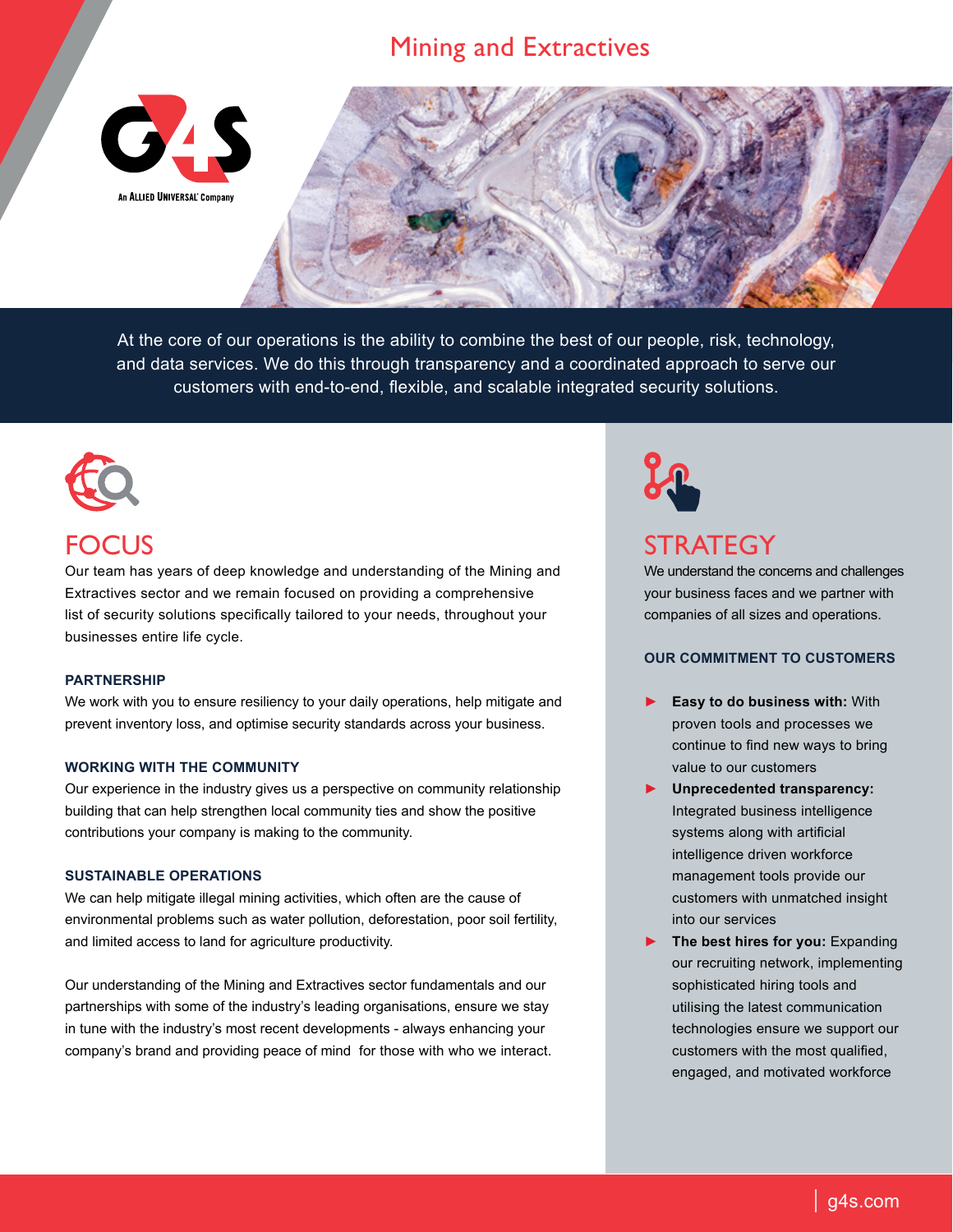## Mining and Extractives





At the core of our operations is the ability to combine the best of our people, risk, technology, and data services. We do this through transparency and a coordinated approach to serve our customers with end-to-end, flexible, and scalable integrated security solutions.



# FOCUS

Our team has years of deep knowledge and understanding of the Mining and Extractives sector and we remain focused on providing a comprehensive list of security solutions specifically tailored to your needs, throughout your businesses entire life cycle.

### **PARTNERSHIP**

We work with you to ensure resiliency to your daily operations, help mitigate and prevent inventory loss, and optimise security standards across your business.

### **WORKING WITH THE COMMUNITY**

Our experience in the industry gives us a perspective on community relationship building that can help strengthen local community ties and show the positive contributions your company is making to the community.

### **SUSTAINABLE OPERATIONS**

We can help mitigate illegal mining activities, which often are the cause of environmental problems such as water pollution, deforestation, poor soil fertility, and limited access to land for agriculture productivity.

Our understanding of the Mining and Extractives sector fundamentals and our partnerships with some of the industry's leading organisations, ensure we stay in tune with the industry's most recent developments - always enhancing your company's brand and providing peace of mind for those with who we interact.



## **STRATEGY**

We understand the concerns and challenges your business faces and we partner with companies of all sizes and operations.

## **OUR COMMITMENT TO CUSTOMERS**

- ► **Easy to do business with:** With proven tools and processes we continue to find new ways to bring value to our customers
- ► **Unprecedented transparency:** Integrated business intelligence systems along with artificial intelligence driven workforce management tools provide our customers with unmatched insight into our services
- ► **The best hires for you:** Expanding our recruiting network, implementing sophisticated hiring tools and utilising the latest communication technologies ensure we support our customers with the most qualified, engaged, and motivated workforce